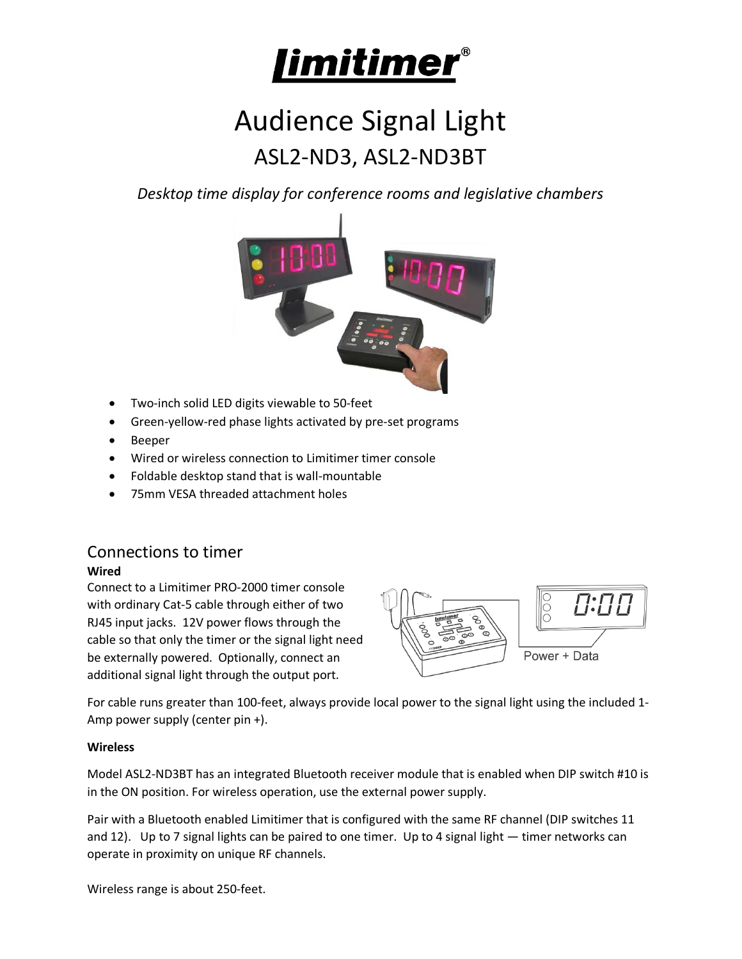

# Audience Signal Light ASL2-ND3, ASL2-ND3BT

*Desktop time display for conference rooms and legislative chambers* 



- Two-inch solid LED digits viewable to 50-feet
- Green-yellow-red phase lights activated by pre-set programs
- Beeper
- Wired or wireless connection to Limitimer timer console
- Foldable desktop stand that is wall-mountable
- 75mm VESA threaded attachment holes

# Connections to timer

#### **Wired**

Connect to a Limitimer PRO-2000 timer console with ordinary Cat-5 cable through either of two RJ45 input jacks. 12V power flows through the cable so that only the timer or the signal light need be externally powered. Optionally, connect an additional signal light through the output port.



For cable runs greater than 100-feet, always provide local power to the signal light using the included 1- Amp power supply (center pin +).

#### **Wireless**

Model ASL2-ND3BT has an integrated Bluetooth receiver module that is enabled when DIP switch #10 is in the ON position. For wireless operation, use the external power supply.

Pair with a Bluetooth enabled Limitimer that is configured with the same RF channel (DIP switches 11 and 12). Up to 7 signal lights can be paired to one timer. Up to 4 signal light — timer networks can operate in proximity on unique RF channels.

Wireless range is about 250-feet.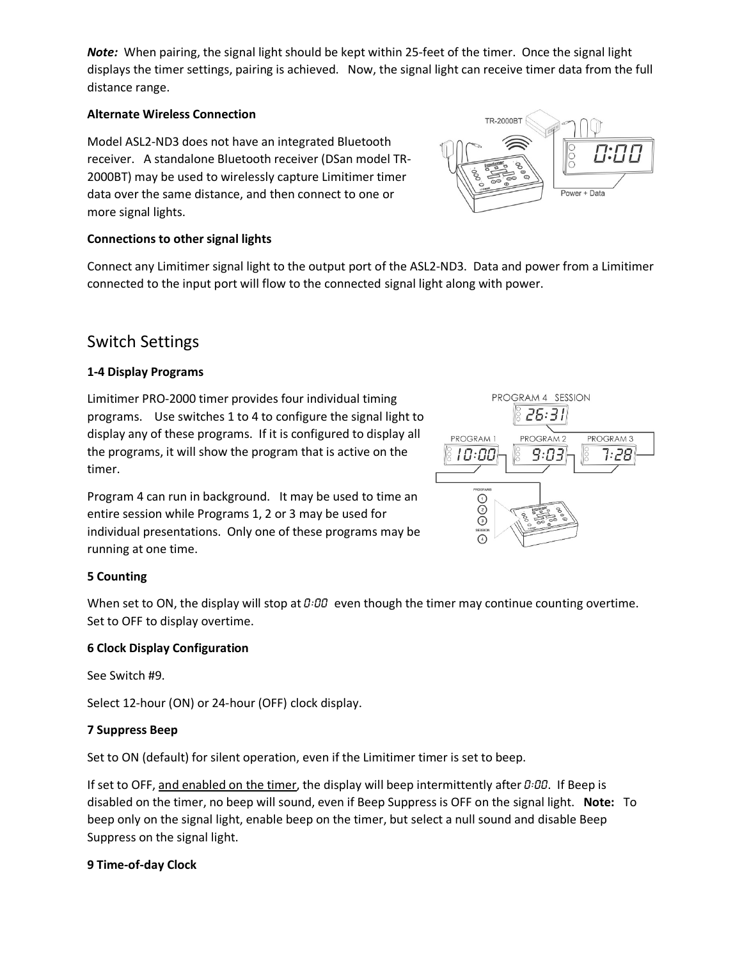*Note:* When pairing, the signal light should be kept within 25-feet of the timer. Once the signal light displays the timer settings, pairing is achieved. Now, the signal light can receive timer data from the full distance range.

#### **Alternate Wireless Connection**

Model ASL2-ND3 does not have an integrated Bluetooth receiver. A standalone Bluetooth receiver (DSan model TR-2000BT) may be used to wirelessly capture Limitimer timer data over the same distance, and then connect to one or more signal lights.

#### **Connections to other signal lights**

Connect any Limitimer signal light to the output port of the ASL2-ND3. Data and power from a Limitimer connected to the input port will flow to the connected signal light along with power.

## Switch Settings

#### **1-4 Display Programs**

Limitimer PRO-2000 timer provides four individual timing programs. Use switches 1 to 4 to configure the signal light to display any of these programs. If it is configured to display all the programs, it will show the program that is active on the timer.

Program 4 can run in background. It may be used to time an entire session while Programs 1, 2 or 3 may be used for individual presentations. Only one of these programs may be running at one time.



Power + Data

TR-2000BT

#### **5 Counting**

When set to ON, the display will stop at  $0.00$  even though the timer may continue counting overtime. Set to OFF to display overtime.

#### **6 Clock Display Configuration**

See Switch #9.

Select 12-hour (ON) or 24-hour (OFF) clock display.

#### **7 Suppress Beep**

Set to ON (default) for silent operation, even if the Limitimer timer is set to beep.

If set to OFF, and enabled on the timer, the display will beep intermittently after  $0:00$ . If Beep is disabled on the timer, no beep will sound, even if Beep Suppress is OFF on the signal light. **Note:** To beep only on the signal light, enable beep on the timer, but select a null sound and disable Beep Suppress on the signal light.

#### **9 Time-of-day Clock**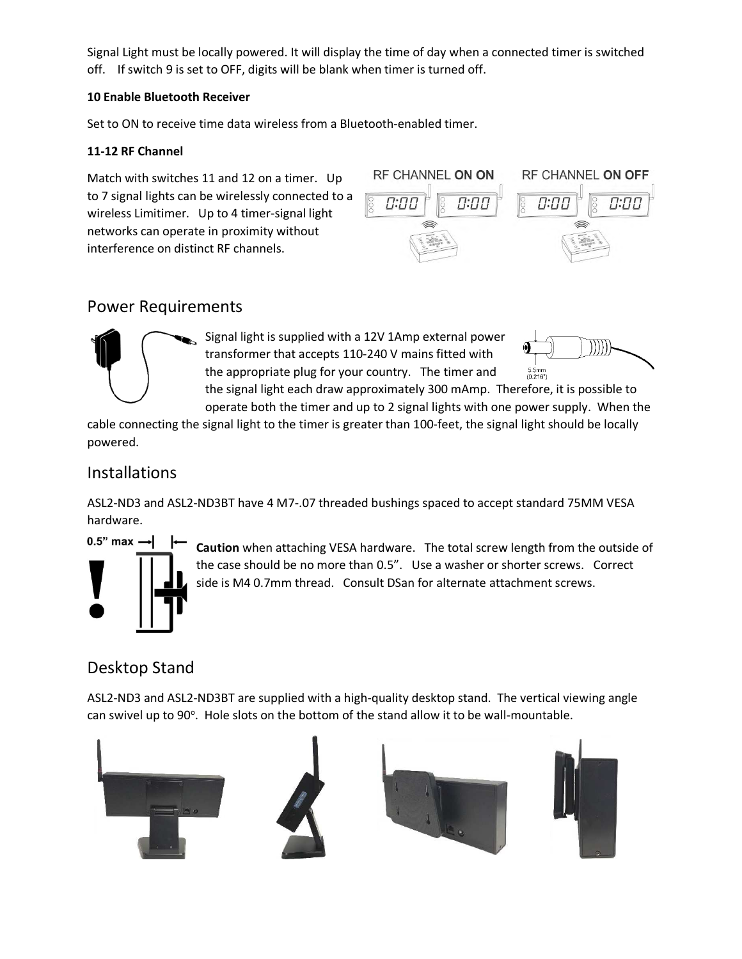Signal Light must be locally powered. It will display the time of day when a connected timer is switched off. If switch 9 is set to OFF, digits will be blank when timer is turned off.

#### **10 Enable Bluetooth Receiver**

Set to ON to receive time data wireless from a Bluetooth-enabled timer.

#### **11-12 RF Channel**

Match with switches 11 and 12 on a timer. Up to 7 signal lights can be wirelessly connected to a wireless Limitimer. Up to 4 timer-signal light networks can operate in proximity without interference on distinct RF channels.



# Power Requirements



Signal light is supplied with a 12V 1Amp external power transformer that accepts 110-240 V mains fitted with the appropriate plug for your country. The timer and



operate both the timer and up to 2 signal lights with one power supply. When the cable connecting the signal light to the timer is greater than 100-feet, the signal light should be locally powered.

# Installations

ASL2-ND3 and ASL2-ND3BT have 4 M7-.07 threaded bushings spaced to accept standard 75MM VESA hardware.



**Caution** when attaching VESA hardware. The total screw length from the outside of the case should be no more than 0.5". Use a washer or shorter screws. Correct side is M4 0.7mm thread. Consult DSan for alternate attachment screws.

the signal light each draw approximately 300 mAmp. Therefore, it is possible to

# Desktop Stand

ASL2-ND3 and ASL2-ND3BT are supplied with a high-quality desktop stand. The vertical viewing angle can swivel up to 90°. Hole slots on the bottom of the stand allow it to be wall-mountable.